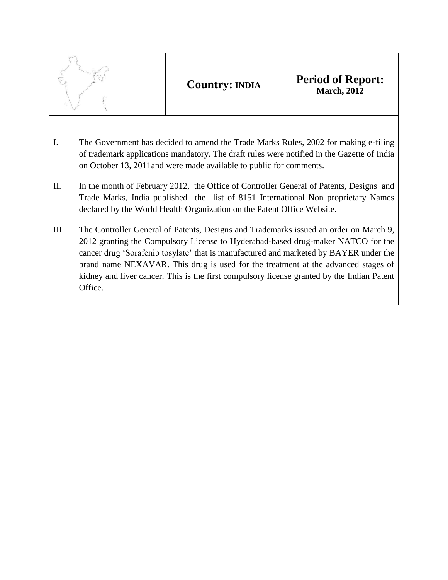- I. The Government has decided to amend the Trade Marks Rules, 2002 for making e-filing of trademark applications mandatory. The draft rules were notified in the Gazette of India on October 13, 2011and were made available to public for comments.
- II. In the month of February 2012, the Office of Controller General of Patents, Designs and Trade Marks, India published the list of 8151 International Non proprietary Names declared by the World Health Organization on the Patent Office Website.
- III. The Controller General of Patents, Designs and Trademarks issued an order on March 9, 2012 granting the Compulsory License to Hyderabad-based drug-maker NATCO for the cancer drug "Sorafenib tosylate" that is manufactured and marketed by BAYER under the brand name NEXAVAR. This drug is used for the treatment at the advanced stages of kidney and liver cancer. This is the first compulsory license granted by the Indian Patent Office.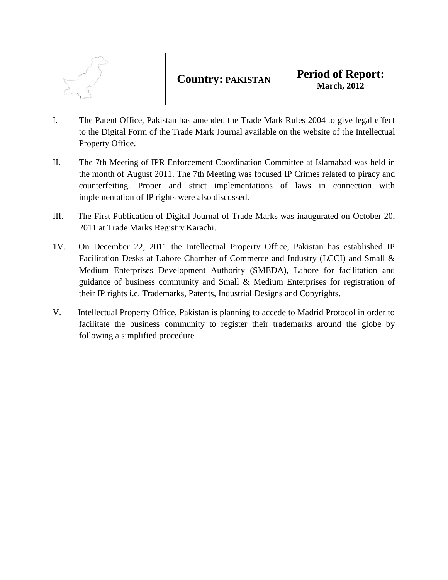- I. The Patent Office, Pakistan has amended the Trade Mark Rules 2004 to give legal effect to the Digital Form of the Trade Mark Journal available on the website of the Intellectual Property Office.
- II. The 7th Meeting of IPR Enforcement Coordination Committee at Islamabad was held in the month of August 2011. The 7th Meeting was focused IP Crimes related to piracy and counterfeiting. Proper and strict implementations of laws in connection with implementation of IP rights were also discussed.
- III. The First Publication of Digital Journal of Trade Marks was inaugurated on October 20, 2011 at Trade Marks Registry Karachi.
- 1V. On December 22, 2011 the Intellectual Property Office, Pakistan has established IP Facilitation Desks at Lahore Chamber of Commerce and Industry (LCCI) and Small & Medium Enterprises Development Authority (SMEDA), Lahore for facilitation and guidance of business community and Small & Medium Enterprises for registration of their IP rights i.e. Trademarks, Patents, Industrial Designs and Copyrights.
- V. Intellectual Property Office, Pakistan is planning to accede to Madrid Protocol in order to facilitate the business community to register their trademarks around the globe by following a simplified procedure.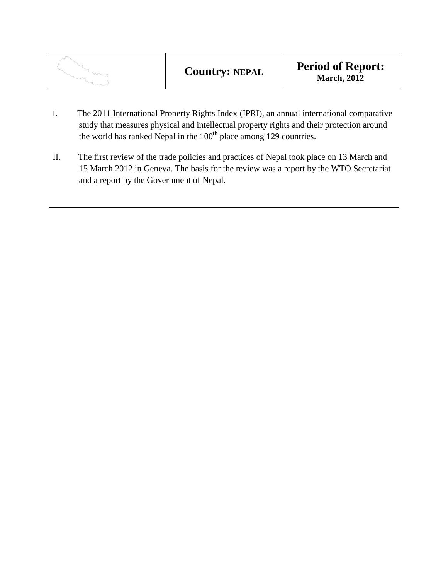|    |                                                                                                                                                                                                                                                                         | <b>Country: NEPAL</b> | <b>Period of Report:</b><br><b>March</b> , 2012 |  |  |
|----|-------------------------------------------------------------------------------------------------------------------------------------------------------------------------------------------------------------------------------------------------------------------------|-----------------------|-------------------------------------------------|--|--|
| I. | The 2011 International Property Rights Index (IPRI), an annual international comparative<br>study that measures physical and intellectual property rights and their protection around<br>the world has ranked Nepal in the 100 <sup>th</sup> place among 129 countries. |                       |                                                 |  |  |
| П. | The first review of the trade policies and practices of Nepal took place on 13 March and<br>15 March 2012 in Geneva. The basis for the review was a report by the WTO Secretariat<br>and a report by the Government of Nepal.                                           |                       |                                                 |  |  |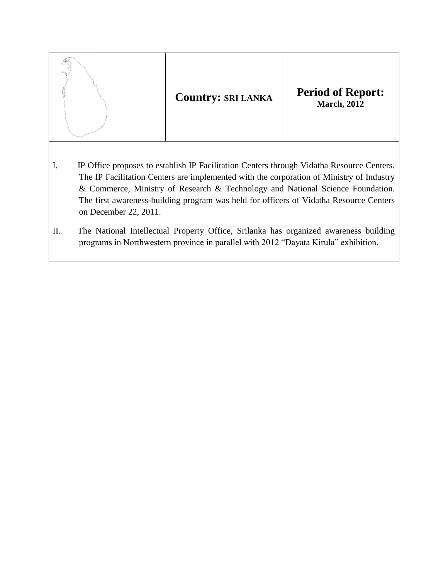

- I. IP Office proposes to establish IP Facilitation Centers through Vidatha Resource Centers. The IP Facilitation Centers are implemented with the corporation of Ministry of Industry & Commerce, Ministry of Research & Technology and National Science Foundation. The first awareness-building program was held for officers of Vidatha Resource Centers on December 22, 2011.
- II. The National Intellectual Property Office, Srilanka has organized awareness building programs in Northwestern province in parallel with 2012 "Dayata Kirula" exhibition.